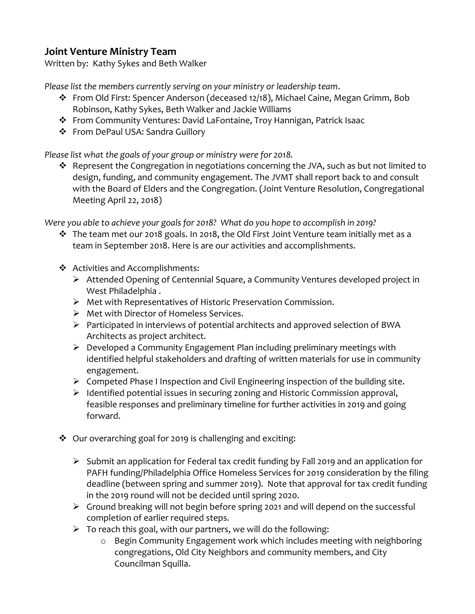## **Joint Venture Ministry Team**

Written by: Kathy Sykes and Beth Walker

*Please list the members currently serving on your ministry or leadership team*.

- ❖ From Old First: Spencer Anderson (deceased 12/18), Michael Caine, Megan Grimm, Bob Robinson, Kathy Sykes, Beth Walker and Jackie Williams
- ❖ From Community Ventures: David LaFontaine, Troy Hannigan, Patrick Isaac
- ❖ From DePaul USA: Sandra Guillory

*Please list what the goals of your group or ministry were for 2018.*

❖ Represent the Congregation in negotiations concerning the JVA, such as but not limited to design, funding, and community engagement. The JVMT shall report back to and consult with the Board of Elders and the Congregation. (Joint Venture Resolution, Congregational Meeting April 22, 2018)

*Were you able to achieve your goals for 2018? What do you hope to accomplish in 2019?*

- ❖ The team met our 2018 goals. In 2018, the Old First Joint Venture team initially met as a team in September 2018. Here is are our activities and accomplishments.
- ❖ Activities and Accomplishments:
	- ➢ Attended Opening of Centennial Square, a Community Ventures developed project in West Philadelphia .
	- ➢ Met with Representatives of Historic Preservation Commission.
	- ➢ Met with Director of Homeless Services.
	- ➢ Participated in interviews of potential architects and approved selection of BWA Architects as project architect.
	- ➢ Developed a Community Engagement Plan including preliminary meetings with identified helpful stakeholders and drafting of written materials for use in community engagement.
	- ➢ Competed Phase I Inspection and Civil Engineering inspection of the building site.
	- ➢ Identified potential issues in securing zoning and Historic Commission approval, feasible responses and preliminary timeline for further activities in 2019 and going forward.
- ❖ Our overarching goal for 2019 is challenging and exciting:
	- ➢ Submit an application for Federal tax credit funding by Fall 2019 and an application for PAFH funding/Philadelphia Office Homeless Services for 2019 consideration by the filing deadline (between spring and summer 2019). Note that approval for tax credit funding in the 2019 round will not be decided until spring 2020.
	- ➢ Ground breaking will not begin before spring 2021 and will depend on the successful completion of earlier required steps.
	- $\triangleright$  To reach this goal, with our partners, we will do the following:
		- o Begin Community Engagement work which includes meeting with neighboring congregations, Old City Neighbors and community members, and City Councilman Squilla.